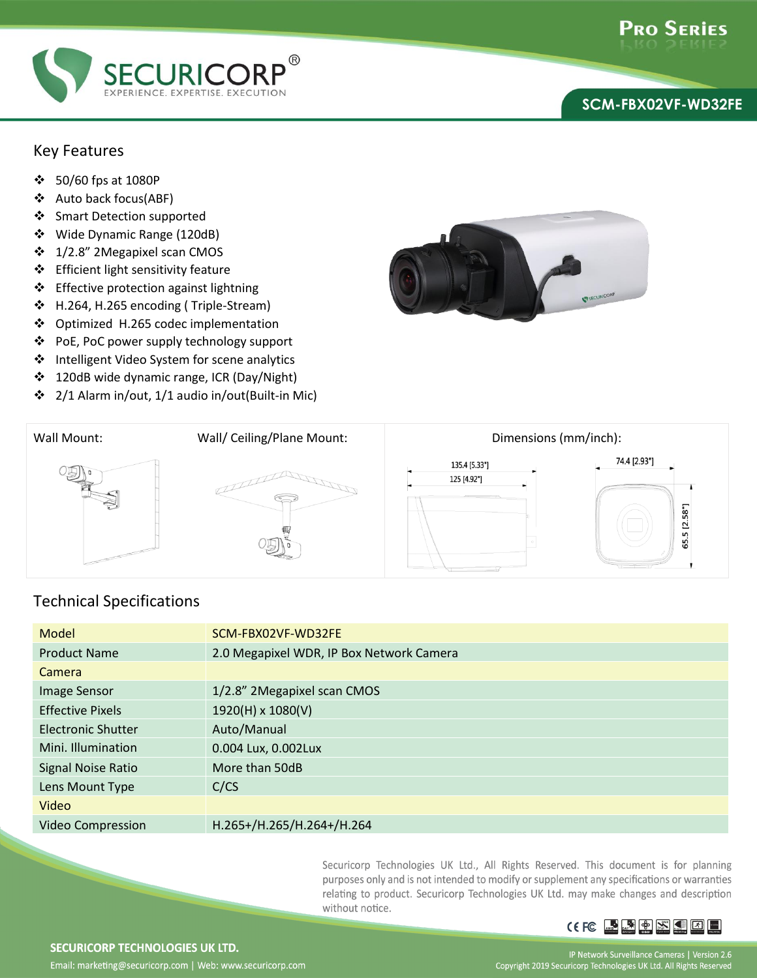

## **SCM-FBX02VF-WD32FE**

## Key Features

- 50/60 fps at 1080P
- Auto back focus(ABF)
- Smart Detection supported
- Wide Dynamic Range (120dB)
- **❖** 1/2.8" 2Megapixel scan CMOS
- ❖ Efficient light sensitivity feature
- ❖ Effective protection against lightning
- H.264, H.265 encoding ( Triple-Stream)
- ❖ Optimized H.265 codec implementation
- PoE, PoC power supply technology support
- Intelligent Video System for scene analytics
- ❖ 120dB wide dynamic range, ICR (Day/Night)
- 2/1 Alarm in/out, 1/1 audio in/out(Built-in Mic)





## Technical Specifications

| Model                     | SCM-FBX02VF-WD32FE                       |
|---------------------------|------------------------------------------|
| <b>Product Name</b>       | 2.0 Megapixel WDR, IP Box Network Camera |
| Camera                    |                                          |
| Image Sensor              | 1/2.8" 2Megapixel scan CMOS              |
| <b>Effective Pixels</b>   | 1920(H) x 1080(V)                        |
| <b>Electronic Shutter</b> | Auto/Manual                              |
| Mini. Illumination        | 0.004 Lux, 0.002Lux                      |
| Signal Noise Ratio        | More than 50dB                           |
| Lens Mount Type           | C/CS                                     |
| Video                     |                                          |
| Video Compression         | H.265+/H.265/H.264+/H.264                |

Securicorp Technologies UK Ltd., All Rights Reserved. This document is for planning purposes only and is not intended to modify or supplement any specifications or warranties relating to product. Securicorp Technologies UK Ltd. may make changes and description without notice.



SECURICORP TECHNOLOGIES UK LTD. Email: marketing@securicorp.com | Web: www.securicorp.com